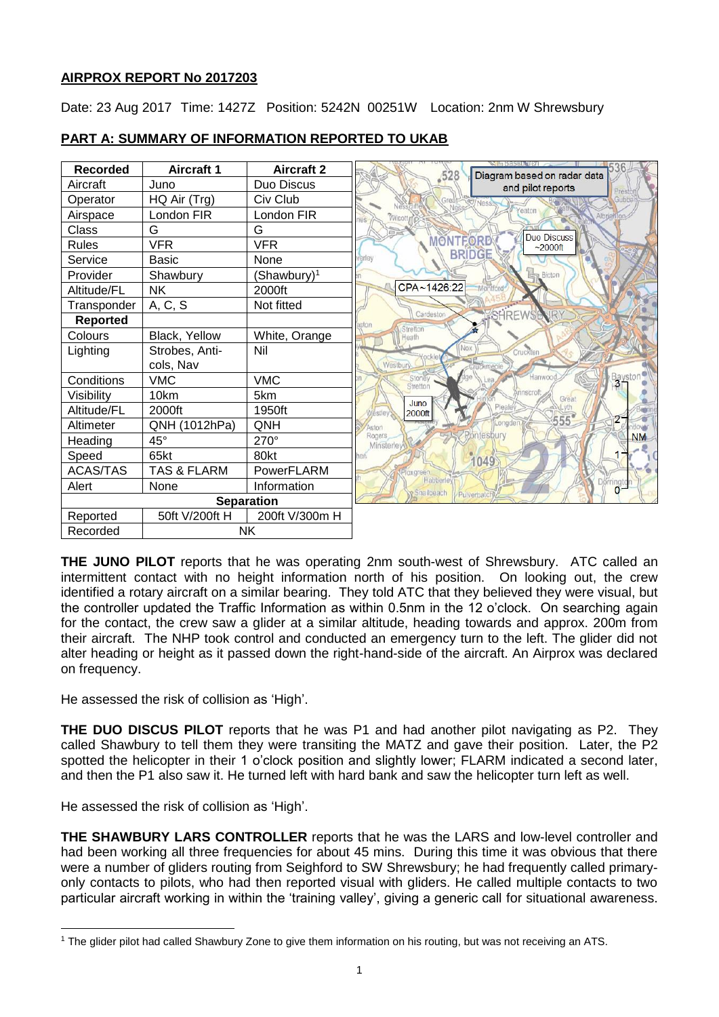# **AIRPROX REPORT No 2017203**

Date: 23 Aug 2017 Time: 1427Z Position: 5242N 00251W Location: 2nm W Shrewsbury



# **PART A: SUMMARY OF INFORMATION REPORTED TO UKAB**

**THE JUNO PILOT** reports that he was operating 2nm south-west of Shrewsbury. ATC called an intermittent contact with no height information north of his position. On looking out, the crew identified a rotary aircraft on a similar bearing. They told ATC that they believed they were visual, but the controller updated the Traffic Information as within 0.5nm in the 12 o'clock. On searching again for the contact, the crew saw a glider at a similar altitude, heading towards and approx. 200m from their aircraft. The NHP took control and conducted an emergency turn to the left. The glider did not alter heading or height as it passed down the right-hand-side of the aircraft. An Airprox was declared on frequency.

He assessed the risk of collision as 'High'.

**THE DUO DISCUS PILOT** reports that he was P1 and had another pilot navigating as P2. They called Shawbury to tell them they were transiting the MATZ and gave their position. Later, the P2 spotted the helicopter in their 1 o'clock position and slightly lower; FLARM indicated a second later, and then the P1 also saw it. He turned left with hard bank and saw the helicopter turn left as well.

He assessed the risk of collision as 'High'.

l

**THE SHAWBURY LARS CONTROLLER** reports that he was the LARS and low-level controller and had been working all three frequencies for about 45 mins. During this time it was obvious that there were a number of gliders routing from Seighford to SW Shrewsbury; he had frequently called primaryonly contacts to pilots, who had then reported visual with gliders. He called multiple contacts to two particular aircraft working in within the 'training valley', giving a generic call for situational awareness.

<sup>1</sup> The glider pilot had called Shawbury Zone to give them information on his routing, but was not receiving an ATS.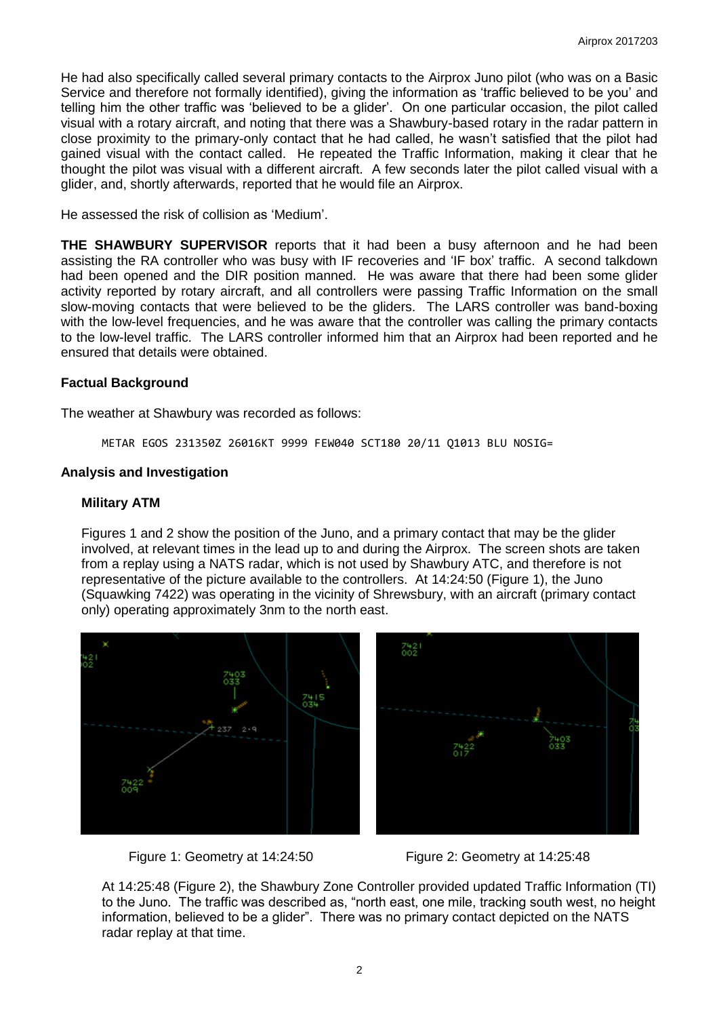He had also specifically called several primary contacts to the Airprox Juno pilot (who was on a Basic Service and therefore not formally identified), giving the information as 'traffic believed to be you' and telling him the other traffic was 'believed to be a glider'. On one particular occasion, the pilot called visual with a rotary aircraft, and noting that there was a Shawbury-based rotary in the radar pattern in close proximity to the primary-only contact that he had called, he wasn't satisfied that the pilot had gained visual with the contact called. He repeated the Traffic Information, making it clear that he thought the pilot was visual with a different aircraft. A few seconds later the pilot called visual with a glider, and, shortly afterwards, reported that he would file an Airprox.

He assessed the risk of collision as 'Medium'.

**THE SHAWBURY SUPERVISOR** reports that it had been a busy afternoon and he had been assisting the RA controller who was busy with IF recoveries and 'IF box' traffic. A second talkdown had been opened and the DIR position manned. He was aware that there had been some glider activity reported by rotary aircraft, and all controllers were passing Traffic Information on the small slow-moving contacts that were believed to be the gliders. The LARS controller was band-boxing with the low-level frequencies, and he was aware that the controller was calling the primary contacts to the low-level traffic. The LARS controller informed him that an Airprox had been reported and he ensured that details were obtained.

## **Factual Background**

The weather at Shawbury was recorded as follows:

METAR EGOS 231350Z 26016KT 9999 FEW040 SCT180 20/11 Q1013 BLU NOSIG=

## **Analysis and Investigation**

#### **Military ATM**

Figures 1 and 2 show the position of the Juno, and a primary contact that may be the glider involved, at relevant times in the lead up to and during the Airprox. The screen shots are taken from a replay using a NATS radar, which is not used by Shawbury ATC, and therefore is not representative of the picture available to the controllers. At 14:24:50 (Figure 1), the Juno (Squawking 7422) was operating in the vicinity of Shrewsbury, with an aircraft (primary contact only) operating approximately 3nm to the north east.





Figure 1: Geometry at 14:24:50 Figure 2: Geometry at 14:25:48

At 14:25:48 (Figure 2), the Shawbury Zone Controller provided updated Traffic Information (TI) to the Juno. The traffic was described as, "north east, one mile, tracking south west, no height information, believed to be a glider". There was no primary contact depicted on the NATS radar replay at that time.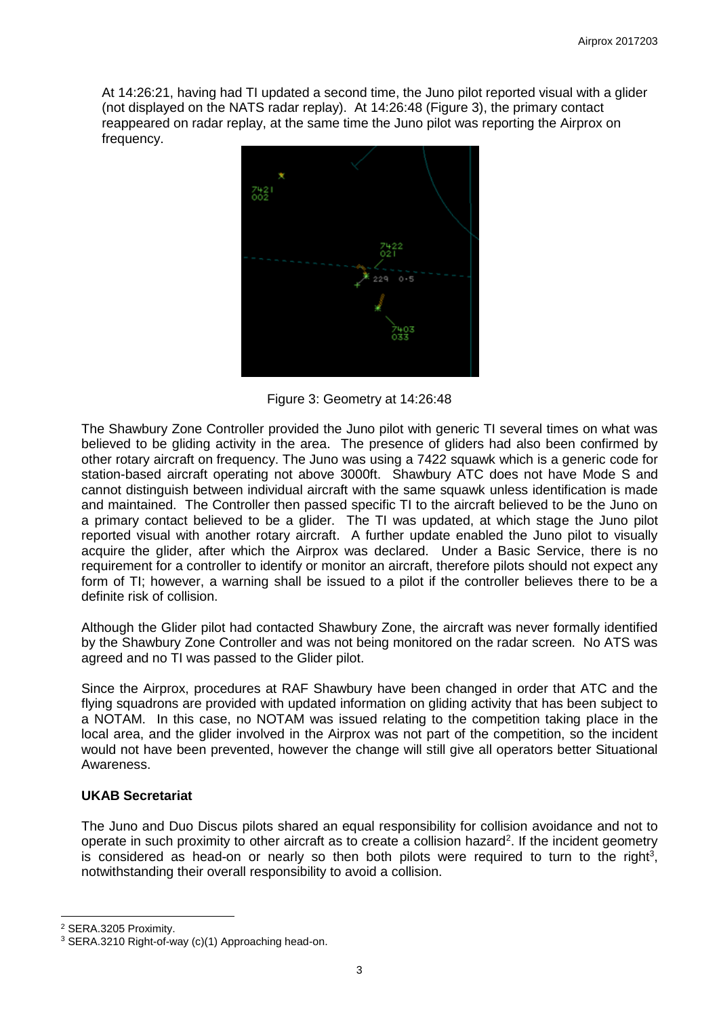At 14:26:21, having had TI updated a second time, the Juno pilot reported visual with a glider (not displayed on the NATS radar replay). At 14:26:48 (Figure 3), the primary contact reappeared on radar replay, at the same time the Juno pilot was reporting the Airprox on frequency.



Figure 3: Geometry at 14:26:48

The Shawbury Zone Controller provided the Juno pilot with generic TI several times on what was believed to be gliding activity in the area. The presence of gliders had also been confirmed by other rotary aircraft on frequency. The Juno was using a 7422 squawk which is a generic code for station-based aircraft operating not above 3000ft. Shawbury ATC does not have Mode S and cannot distinguish between individual aircraft with the same squawk unless identification is made and maintained. The Controller then passed specific TI to the aircraft believed to be the Juno on a primary contact believed to be a glider. The TI was updated, at which stage the Juno pilot reported visual with another rotary aircraft. A further update enabled the Juno pilot to visually acquire the glider, after which the Airprox was declared. Under a Basic Service, there is no requirement for a controller to identify or monitor an aircraft, therefore pilots should not expect any form of TI; however, a warning shall be issued to a pilot if the controller believes there to be a definite risk of collision.

Although the Glider pilot had contacted Shawbury Zone, the aircraft was never formally identified by the Shawbury Zone Controller and was not being monitored on the radar screen. No ATS was agreed and no TI was passed to the Glider pilot.

Since the Airprox, procedures at RAF Shawbury have been changed in order that ATC and the flying squadrons are provided with updated information on gliding activity that has been subject to a NOTAM. In this case, no NOTAM was issued relating to the competition taking place in the local area, and the glider involved in the Airprox was not part of the competition, so the incident would not have been prevented, however the change will still give all operators better Situational Awareness.

# **UKAB Secretariat**

The Juno and Duo Discus pilots shared an equal responsibility for collision avoidance and not to operate in such proximity to other aircraft as to create a collision hazard<sup>2</sup>. If the incident geometry is considered as head-on or nearly so then both pilots were required to turn to the right<sup>3</sup>, notwithstanding their overall responsibility to avoid a collision.

 $\overline{\phantom{a}}$ 

<sup>2</sup> SERA.3205 Proximity.

<sup>3</sup> SERA.3210 Right-of-way (c)(1) Approaching head-on.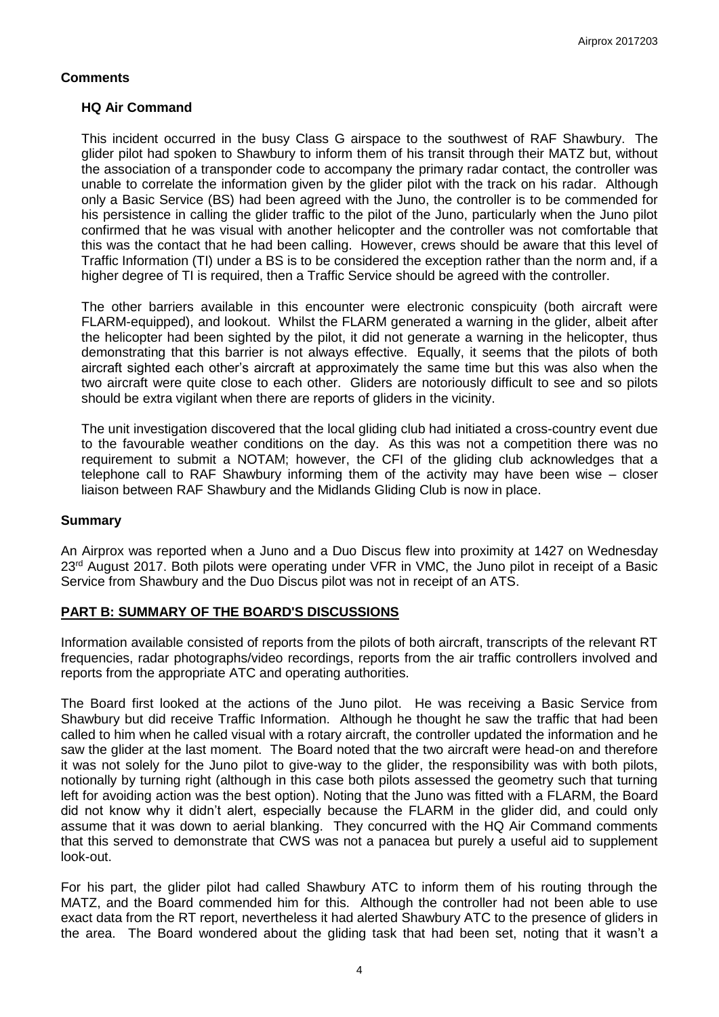## **Comments**

## **HQ Air Command**

This incident occurred in the busy Class G airspace to the southwest of RAF Shawbury. The glider pilot had spoken to Shawbury to inform them of his transit through their MATZ but, without the association of a transponder code to accompany the primary radar contact, the controller was unable to correlate the information given by the glider pilot with the track on his radar. Although only a Basic Service (BS) had been agreed with the Juno, the controller is to be commended for his persistence in calling the glider traffic to the pilot of the Juno, particularly when the Juno pilot confirmed that he was visual with another helicopter and the controller was not comfortable that this was the contact that he had been calling. However, crews should be aware that this level of Traffic Information (TI) under a BS is to be considered the exception rather than the norm and, if a higher degree of TI is required, then a Traffic Service should be agreed with the controller.

The other barriers available in this encounter were electronic conspicuity (both aircraft were FLARM-equipped), and lookout. Whilst the FLARM generated a warning in the glider, albeit after the helicopter had been sighted by the pilot, it did not generate a warning in the helicopter, thus demonstrating that this barrier is not always effective. Equally, it seems that the pilots of both aircraft sighted each other's aircraft at approximately the same time but this was also when the two aircraft were quite close to each other. Gliders are notoriously difficult to see and so pilots should be extra vigilant when there are reports of gliders in the vicinity.

The unit investigation discovered that the local gliding club had initiated a cross-country event due to the favourable weather conditions on the day. As this was not a competition there was no requirement to submit a NOTAM; however, the CFI of the gliding club acknowledges that a telephone call to RAF Shawbury informing them of the activity may have been wise – closer liaison between RAF Shawbury and the Midlands Gliding Club is now in place.

## **Summary**

An Airprox was reported when a Juno and a Duo Discus flew into proximity at 1427 on Wednesday 23<sup>rd</sup> August 2017. Both pilots were operating under VFR in VMC, the Juno pilot in receipt of a Basic Service from Shawbury and the Duo Discus pilot was not in receipt of an ATS.

# **PART B: SUMMARY OF THE BOARD'S DISCUSSIONS**

Information available consisted of reports from the pilots of both aircraft, transcripts of the relevant RT frequencies, radar photographs/video recordings, reports from the air traffic controllers involved and reports from the appropriate ATC and operating authorities.

The Board first looked at the actions of the Juno pilot. He was receiving a Basic Service from Shawbury but did receive Traffic Information. Although he thought he saw the traffic that had been called to him when he called visual with a rotary aircraft, the controller updated the information and he saw the glider at the last moment. The Board noted that the two aircraft were head-on and therefore it was not solely for the Juno pilot to give-way to the glider, the responsibility was with both pilots, notionally by turning right (although in this case both pilots assessed the geometry such that turning left for avoiding action was the best option). Noting that the Juno was fitted with a FLARM, the Board did not know why it didn't alert, especially because the FLARM in the glider did, and could only assume that it was down to aerial blanking. They concurred with the HQ Air Command comments that this served to demonstrate that CWS was not a panacea but purely a useful aid to supplement look-out.

For his part, the glider pilot had called Shawbury ATC to inform them of his routing through the MATZ, and the Board commended him for this. Although the controller had not been able to use exact data from the RT report, nevertheless it had alerted Shawbury ATC to the presence of gliders in the area. The Board wondered about the gliding task that had been set, noting that it wasn't a